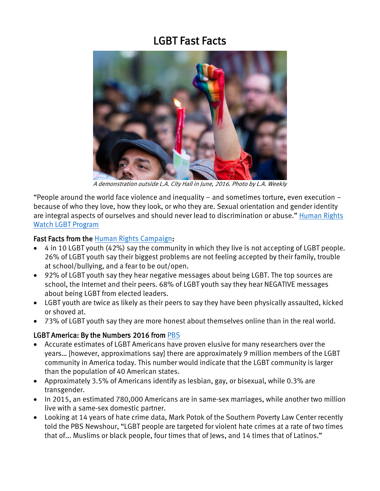# LGBT Fast Facts



A demonstration outside L.A. City Hall in June, 2016. Photo by L.A. Weekly

"People around the world face violence and inequality – and sometimes torture, even execution – because of who they love, how they look, or who they are. Sexual orientation and gender identity are integral aspects of ourselves and should never lead to discrimination or abuse." [Human Rights](https://www.hrw.org/topic/lgbt-rights)  [Watch LGBT Program](https://www.hrw.org/topic/lgbt-rights)

#### Fast Facts from the [Human Rights Campaign:](http://www.hrc.org/youth-report/view-and-share-statistics)

- 4 in 10 LGBT youth (42%) say the community in which they live is not accepting of LGBT people. 26% of LGBT youth say their biggest problems are not feeling accepted by their family, trouble at school/bullying, and a fear to be out/open.
- 92% of LGBT youth say they hear negative messages about being LGBT. The top sources are school, the Internet and their peers. 68% of LGBT youth say they hear NEGATIVE messages about being LGBT from elected leaders.
- LGBT youth are twice as likely as their peers to say they have been physically assaulted, kicked or shoved at.
- 73% of LGBT youth say they are more honest about themselves online than in the real world.

# LGBT America: By the Numbers 2016 from [PBS](http://www.pbs.org/weta/washingtonweek/blog-post/lgbt-america-numbers)

- Accurate estimates of LGBT Americans have proven elusive for many researchers over the years… [however, approximations say] there are approximately 9 million members of the LGBT community in America today. This number would indicate that the LGBT community is larger than the population of 40 American states.
- Approximately 3.5% of Americans identify as lesbian, gay, or bisexual, while 0.3% are transgender.
- In 2015, an estimated 780,000 Americans are in same-sex marriages, while another two million live with a same-sex domestic partner.
- Looking at 14 years of hate crime data, Mark Potok of the Southern Poverty Law Center recently told the PBS [Newshour,](http://www.pbs.org/newshour/bb/lgbt-americans-target-of-violent-hate-crimes-more-than-any-other-group/) "LGBT people are targeted for violent hate crimes at a rate of two times that of... Muslims or black people, four times that of Jews, and 14 times that of Latinos."